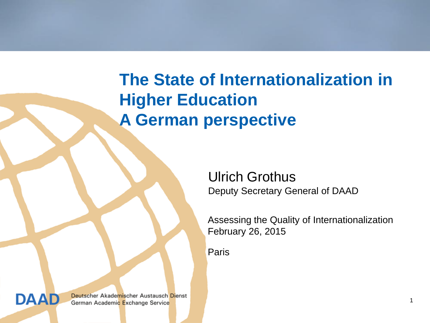# **The State of Internationalization in Higher Education A German perspective**

Ulrich Grothus Deputy Secretary General of DAAD

Assessing the Quality of Internationalization February 26, 2015

Paris

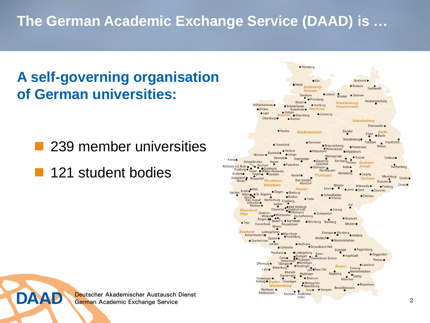## **The German Academic Exchange Service (DAAD) is …**

## **A self-governing organisation of German universities:**

■ 239 member universities

**121 student bodies** 

**DAAD** 

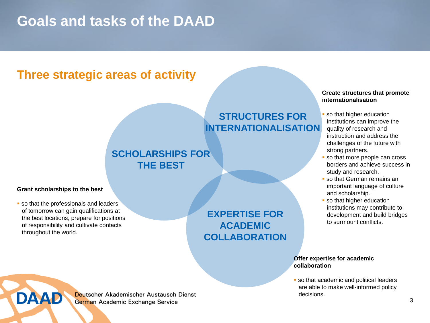#### **Goals and tasks of the DAAD**

#### **Three strategic areas of activity**

#### **STRUCTURES FOR INTERNATIONALISATION**

#### **SCHOLARSHIPS FOR THE BEST**

#### **Grant scholarships to the best**

**DAAD** 

**so that the professionals and leaders**  of tomorrow can gain qualifications at the best locations, prepare for positions of responsibility and cultivate contacts throughout the world.

**EXPERTISE FOR ACADEMIC COLLABORATION**

#### **Create structures that promote internationalisation**

- so that higher education institutions can improve the quality of research and instruction and address the challenges of the future with strong partners.
- **so that more people can cross**  borders and achieve success in study and research.
- so that German remains an important language of culture and scholarship.
- **so that higher education**  institutions may contribute to development and build bridges to surmount conflicts.

#### **Offer expertise for academic collaboration**

**so that academic and political leaders**  are able to make well-informed policy decisions.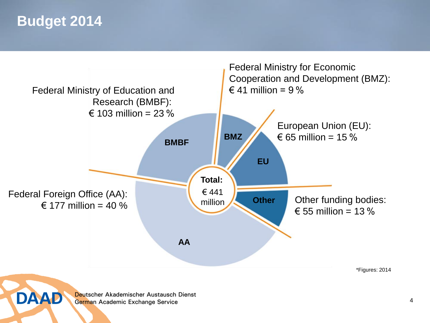#### **Budget 2014**



4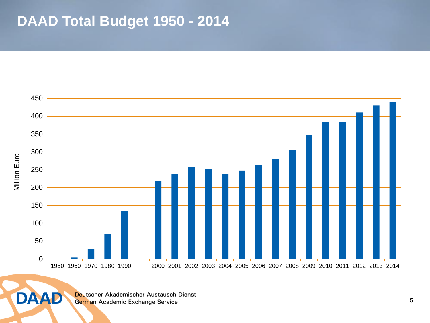#### **DAAD Total Budget 1950 - 2014**



Deutscher Akademischer Austausch Dienst German Academic Exchange Service

**DAAD**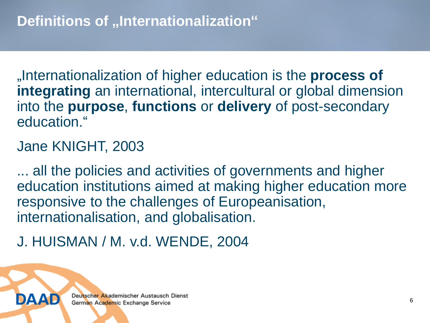"Internationalization of higher education is the **process of integrating** an international, intercultural or global dimension into the **purpose**, **functions** or **delivery** of post-secondary education."

#### Jane KNIGHT, 2003

... all the policies and activities of governments and higher education institutions aimed at making higher education more responsive to the challenges of Europeanisation, internationalisation, and globalisation.

J. HUISMAN / M. v.d. WENDE, 2004

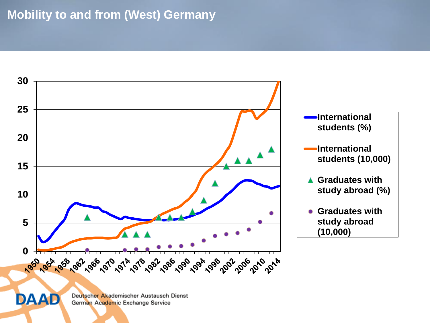#### **Mobility to and from (West) Germany**



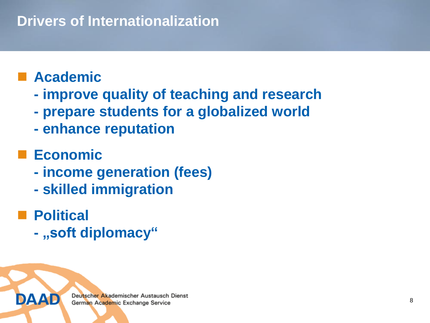### **Drivers of Internationalization**

## **Academic**

- **- improve quality of teaching and research**
- **- prepare students for a globalized world**
- **- enhance reputation**

## **Economic**

- **- income generation (fees)**
- **- skilled immigration**
- Political
	- **- "soft diplomacy"**

DAAL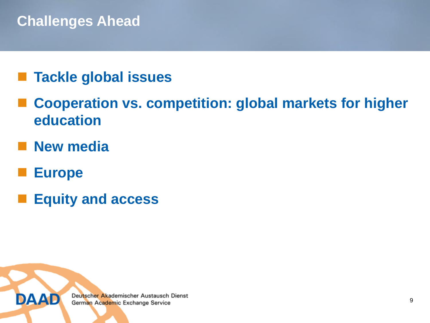### **Challenges Ahead**

### **Tackle global issues**

- **Cooperation vs. competition: global markets for higher education**
- **New media**
- **Europe**
- **Equity and access**

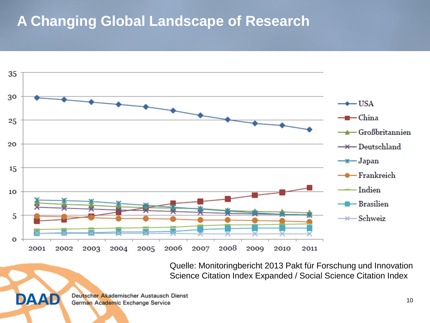#### **A Changing Global Landscape of Research**



Quelle: Monitoringbericht 2013 Pakt für Forschung und Innovation Science Citation Index Expanded / Social Science Citation Index

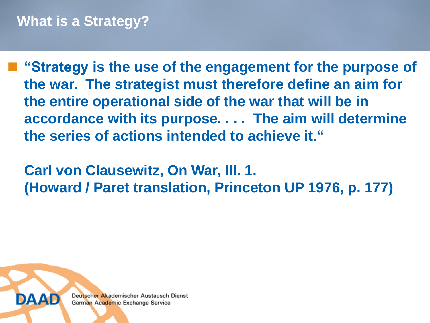**"Strategy is the use of the engagement for the purpose of the war. The strategist must therefore define an aim for the entire operational side of the war that will be in accordance with its purpose. . . . The aim will determine the series of actions intended to achieve it."**

**Carl von Clausewitz, On War, III. 1. (Howard / Paret translation, Princeton UP 1976, p. 177)**

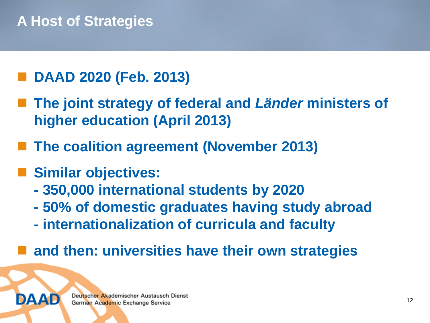### **A Host of Strategies**

#### **DAAD 2020 (Feb. 2013)**

- **The joint strategy of federal and** *Länder* **ministers of higher education (April 2013)**
- **The coalition agreement (November 2013)**
- **Similar objectives:**
	- **- 350,000 international students by 2020**
	- **- 50% of domestic graduates having study abroad**
	- **- internationalization of curricula and faculty**
- **and then: universities have their own strategies**

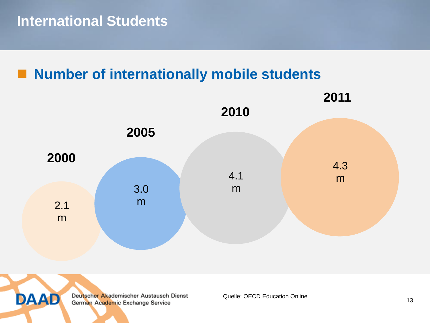#### **Number of internationally mobile students**





Deutscher Akademischer Austausch Dienst German Academic Exchange Service

Quelle: OECD Education Online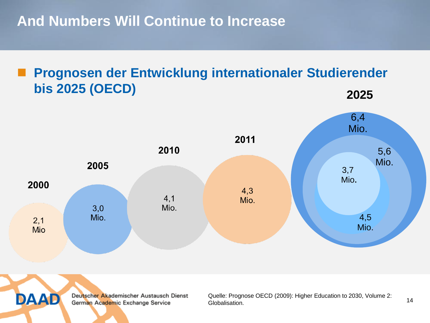**And Numbers Will Continue to Increase**

#### **Prognosen der Entwicklung internationaler Studierender bis 2025 (OECD) 2025**





Deutscher Akademischer Austausch Dienst German Academic Exchange Service

Quelle: Prognose OECD (2009): Higher Education to 2030, Volume 2: Globalisation.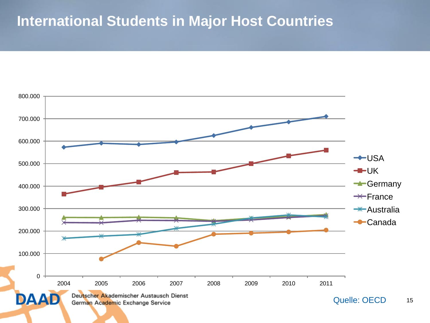#### **International Students in Major Host Countries**

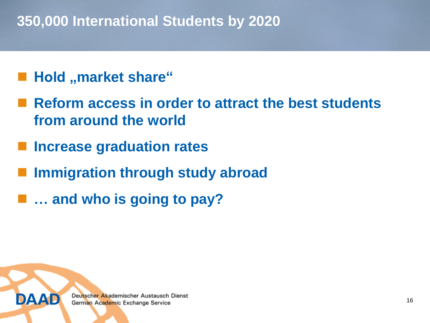#### **350,000 International Students by 2020**

#### **Hold "market share"**

- **Reform access in order to attract the best students from around the world**
- **Increase graduation rates**
- **Immigration through study abroad**
- **… and who is going to pay?**

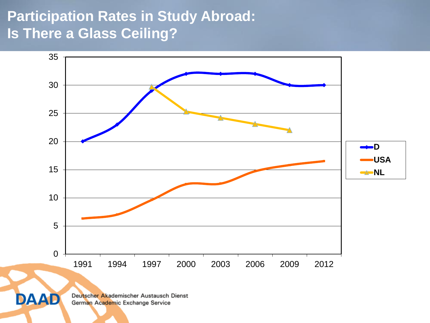## **Participation Rates in Study Abroad: Is There a Glass Ceiling?**



**DAAD**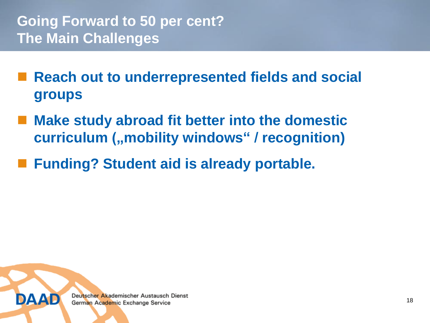- **Reach out to underrepresented fields and social groups**
- **Make study abroad fit better into the domestic curriculum** ("mobility windows" / recognition)
- **Funding? Student aid is already portable.**

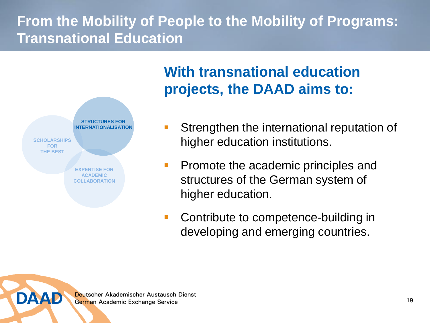## **From the Mobility of People to the Mobility of Programs: Transnational Education**



DAAD

### **With transnational education projects, the DAAD aims to:**

- Strengthen the international reputation of higher education institutions.
- **Promote the academic principles and** structures of the German system of higher education.
- Contribute to competence-building in developing and emerging countries.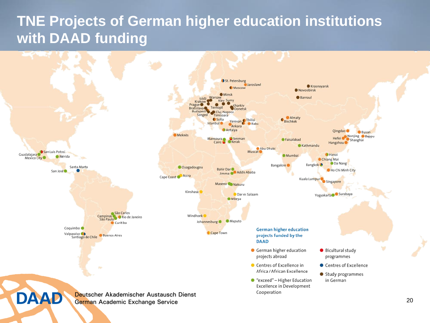#### **TNE Projects of German higher education institutions with DAAD funding**

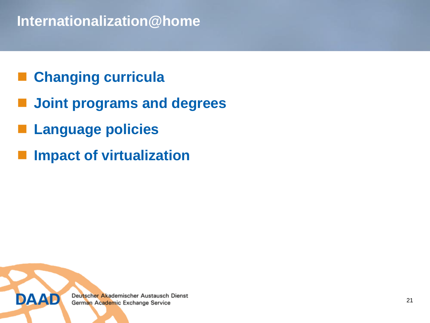#### **Internationalization@home**

## **Changing curricula**

- **Joint programs and degrees**
- **Language policies**
- **Impact of virtualization**

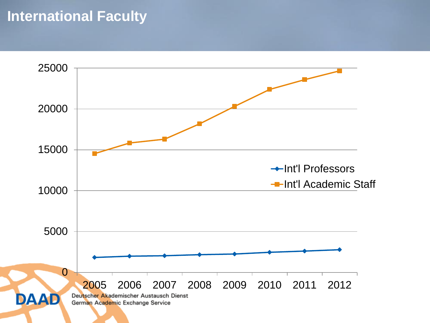#### **International Faculty**

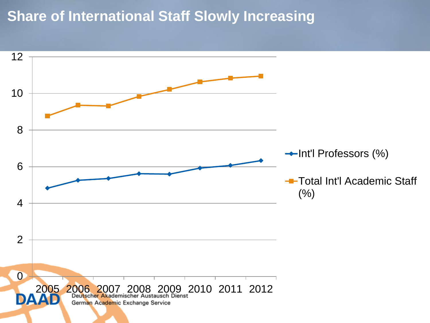#### **Share of International Staff Slowly Increasing**

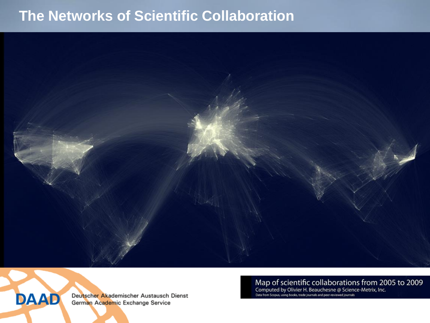#### **The Networks of Scientific Collaboration**



**DAAD** 

Deutscher Akademischer Austausch Dienst German Academic Exchange Service

Map of scientific collaborations from 2005 to 2009 Computed by Olivier H. Beauchesne @ Science-Metrix, Inc.

Data from Scopus, using books, trade journals and peer-reviewed journals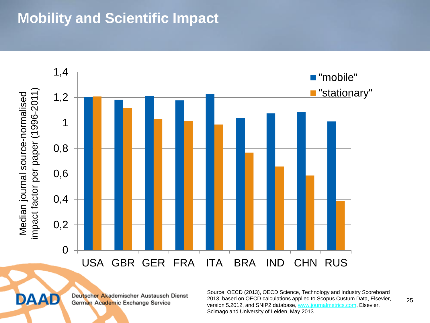#### **Mobility and Scientific Impact**





Deutscher Akademischer Austausch Dienst German Academic Exchange Service

Source: OECD (2013), OECD Science, Technology and Industry Scoreboard 2013, based on OECD calculations applied to Scopus Custum Data, Elsevier, version 5.2012, and SNIP2 database, [www.journalmetrics.com,](http://www.journalmetrics.com/) Elsevier, Scimago and University of Leiden, May 2013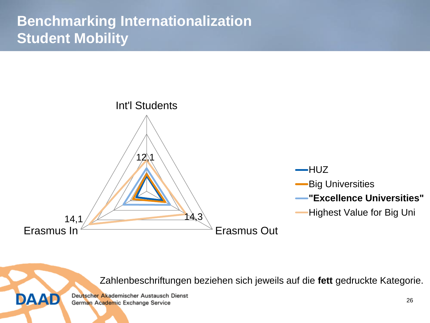## **Benchmarking Internationalization Student Mobility**



Zahlenbeschriftungen beziehen sich jeweils auf die **fett** gedruckte Kategorie.

Deutscher Akademischer Austausch Dienst German Academic Exchange Service

**DAAD**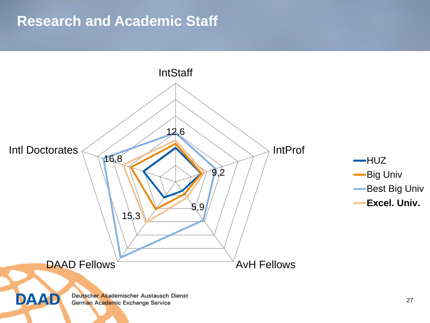#### **Research and Academic Staff**

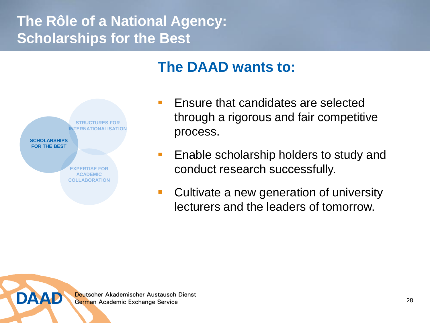## **The Rôle of a National Agency: Scholarships for the Best**

#### **The DAAD wants to:**



**DAAD** 

- **Ensure that candidates are selected** through a rigorous and fair competitive process.
- **Enable scholarship holders to study and** conduct research successfully.
- **Cultivate a new generation of university** lecturers and the leaders of tomorrow.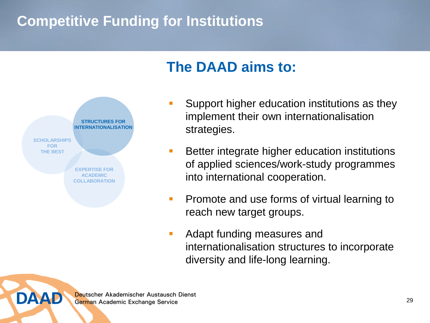## **Competitive Funding for Institutions**

#### **The DAAD aims to:**



DAAD

- **Support higher education institutions as they** implement their own internationalisation strategies.
- **Better integrate higher education institutions** of applied sciences/work-study programmes into international cooperation.
- **Promote and use forms of virtual learning to** reach new target groups.
- **Adapt funding measures and** internationalisation structures to incorporate diversity and life-long learning.

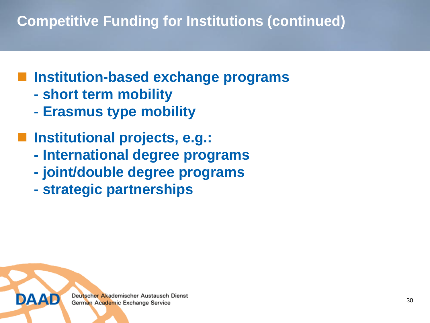# **Competitive Funding for Institutions (continued)**

# **Institution-based exchange programs**

- **- short term mobility**
- **- Erasmus type mobility**
- **Institutional projects, e.g.:**
	- **- International degree programs**
	- **- joint/double degree programs**
	- **- strategic partnerships**

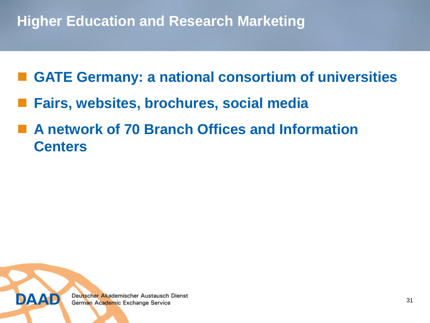### **Higher Education and Research Marketing**

- **GATE Germany: a national consortium of universities**
- **Fairs, websites, brochures, social media**
- **A network of 70 Branch Offices and Information Centers**

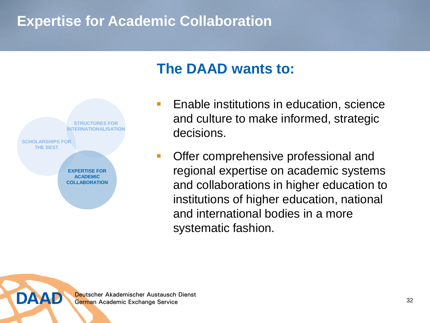#### **Expertise for Academic Collaboration**





DAAD

- **Enable institutions in education, science** and culture to make informed, strategic decisions.
- **Offer comprehensive professional and** regional expertise on academic systems and collaborations in higher education to institutions of higher education, national and international bodies in a more systematic fashion.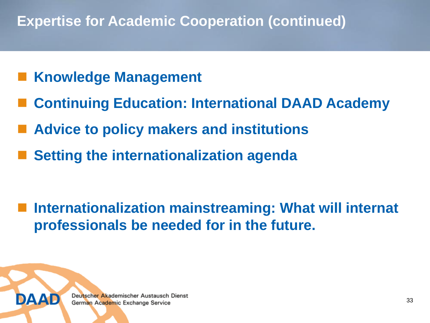### **Expertise for Academic Cooperation (continued)**

- **Knowledge Management**
- **Continuing Education: International DAAD Academy**
- **Advice to policy makers and institutions**
- **Setting the internationalization agenda**

 **Internationalization mainstreaming: What will internat professionals be needed for in the future.**